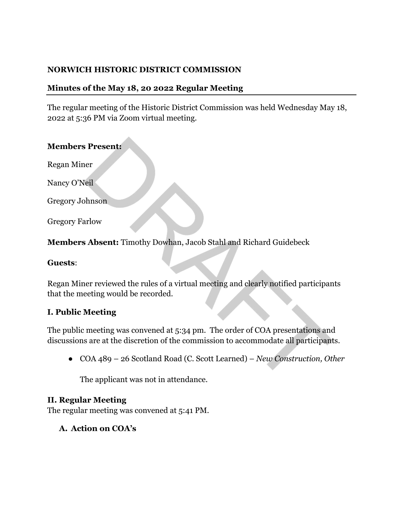# **NORWICH HISTORIC DISTRICT COMMISSION**

### **Minutes of the May 18, 20 2022 Regular Meeting**

The regular meeting of the Historic District Commission was held Wednesday May 18, 2022 at 5:36 PM via Zoom virtual meeting.

#### **Members Present:**

Regan Miner

Nancy O'Neil

Gregory Johnson

Gregory Farlow

**Members Absent:** Timothy Dowhan, Jacob Stahl and Richard Guidebeck

#### **Guests**:

Regan Miner reviewed the rules of a virtual meeting and clearly notified participants that the meeting would be recorded.

### **I. Public Meeting**

The public meeting was convened at 5:34 pm. The order of COA presentations and discussions are at the discretion of the commission to accommodate all participants.

● COA 489 – 26 Scotland Road (C. Scott Learned) – *New Construction, Other* 

The applicant was not in attendance.

### **II. Regular Meeting**

The regular meeting was convened at 5:41 PM.

### **A. Action on COA's**